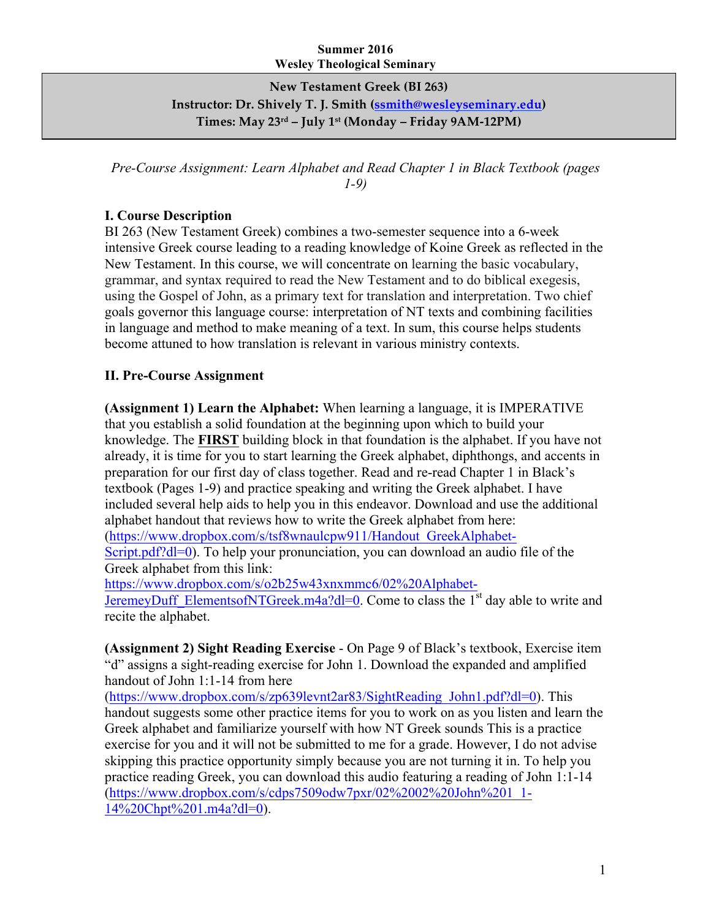## **Summer 2016 Wesley Theological Seminary**

**New Testament Greek (BI 263) Instructor: Dr. Shively T. J. Smith (ssmith@wesleyseminary.edu) Times: May 23rd – July 1st (Monday – Friday 9AM-12PM)**

*Pre-Course Assignment: Learn Alphabet and Read Chapter 1 in Black Textbook (pages 1-9)*

## **I. Course Description**

BI 263 (New Testament Greek) combines a two-semester sequence into a 6-week intensive Greek course leading to a reading knowledge of Koine Greek as reflected in the New Testament. In this course, we will concentrate on learning the basic vocabulary, grammar, and syntax required to read the New Testament and to do biblical exegesis, using the Gospel of John, as a primary text for translation and interpretation. Two chief goals governor this language course: interpretation of NT texts and combining facilities in language and method to make meaning of a text. In sum, this course helps students become attuned to how translation is relevant in various ministry contexts.

## **II. Pre-Course Assignment**

**(Assignment 1) Learn the Alphabet:** When learning a language, it is IMPERATIVE that you establish a solid foundation at the beginning upon which to build your knowledge. The **FIRST** building block in that foundation is the alphabet. If you have not already, it is time for you to start learning the Greek alphabet, diphthongs, and accents in preparation for our first day of class together. Read and re-read Chapter 1 in Black's textbook (Pages 1-9) and practice speaking and writing the Greek alphabet. I have included several help aids to help you in this endeavor. Download and use the additional alphabet handout that reviews how to write the Greek alphabet from here: (https://www.dropbox.com/s/tsf8wnaulcpw911/Handout\_GreekAlphabet-Script.pdf?dl=0). To help your pronunciation, you can download an audio file of the Greek alphabet from this link: https://www.dropbox.com/s/o2b25w43xnxmmc6/02%20Alphabet-

JeremeyDuff\_ElementsofNTGreek.m4a?dl=0. Come to class the  $1<sup>st</sup>$  day able to write and recite the alphabet.

**(Assignment 2) Sight Reading Exercise** - On Page 9 of Black's textbook, Exercise item "d" assigns a sight-reading exercise for John 1. Download the expanded and amplified handout of John 1:1-14 from here

(https://www.dropbox.com/s/zp639levnt2ar83/SightReading\_John1.pdf?dl=0). This handout suggests some other practice items for you to work on as you listen and learn the Greek alphabet and familiarize yourself with how NT Greek sounds This is a practice exercise for you and it will not be submitted to me for a grade. However, I do not advise skipping this practice opportunity simply because you are not turning it in. To help you practice reading Greek, you can download this audio featuring a reading of John 1:1-14 (https://www.dropbox.com/s/cdps7509odw7pxr/02%2002%20John%201\_1- 14%20Chpt%201.m4a?dl=0).